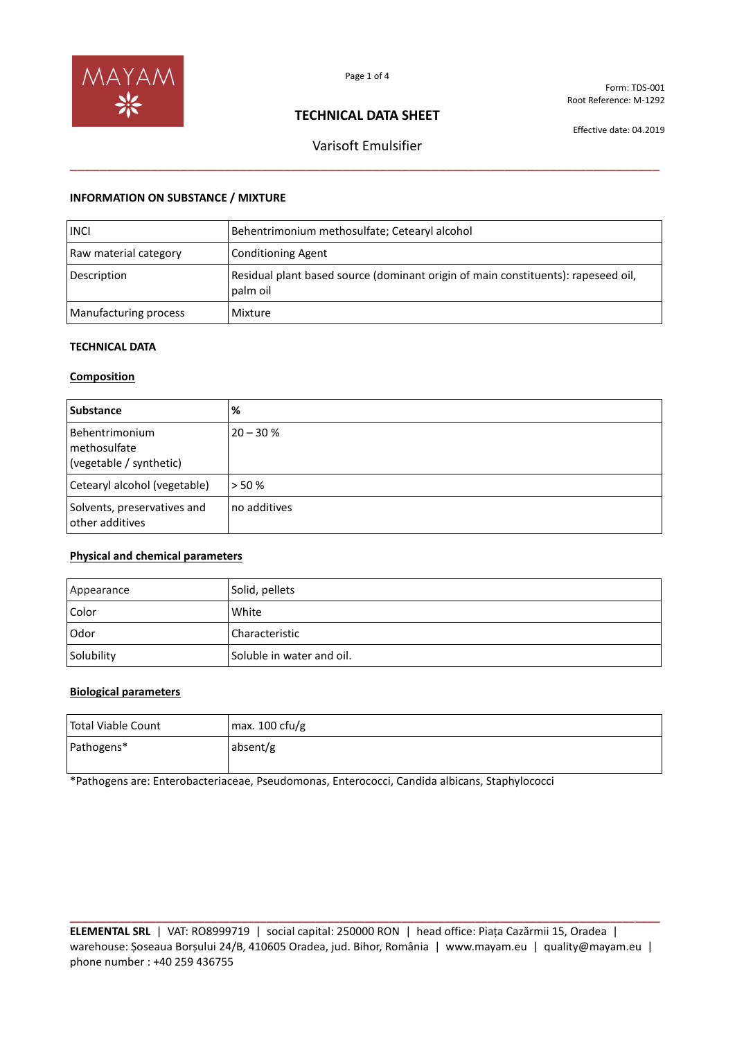

Form: TDS-001 Root Reference: M-1292

## **TECHNICAL DATA SHEET**

Effective date: 04.2019

# Varisoft Emulsifier \_\_\_\_\_\_\_\_\_\_\_\_\_\_\_\_\_\_\_\_\_\_\_\_\_\_\_\_\_\_\_\_\_\_\_\_\_\_\_\_\_\_\_\_\_\_\_\_\_\_\_\_\_\_\_\_\_\_\_\_\_\_\_\_\_\_\_\_\_\_\_\_\_\_\_\_\_\_\_\_

#### **INFORMATION ON SUBSTANCE / MIXTURE**

| <b>INCI</b>           | Behentrimonium methosulfate; Cetearyl alcohol                                                 |
|-----------------------|-----------------------------------------------------------------------------------------------|
| Raw material category | <b>Conditioning Agent</b>                                                                     |
| Description           | Residual plant based source (dominant origin of main constituents): rapeseed oil,<br>palm oil |
| Manufacturing process | Mixture                                                                                       |

#### **TECHNICAL DATA**

#### **Composition**

| <b>Substance</b>                                          | %            |
|-----------------------------------------------------------|--------------|
| Behentrimonium<br>methosulfate<br>(vegetable / synthetic) | $20 - 30 %$  |
| Cetearyl alcohol (vegetable)                              | > 50%        |
| Solvents, preservatives and<br>other additives            | no additives |

### **Physical and chemical parameters**

| Appearance | Solid, pellets            |
|------------|---------------------------|
| Color      | White                     |
| Odor       | Characteristic            |
| Solubility | Soluble in water and oil. |

#### **Biological parameters**

| Total Viable Count | max. $100 \text{ cfu/g}$ |
|--------------------|--------------------------|
| Pathogens*         | absent/g                 |

\*Pathogens are: Enterobacteriaceae, Pseudomonas, Enterococci, Candida albicans, Staphylococci

**ELEMENTAL SRL** | VAT: RO8999719 | social capital: 250000 RON | head office: Piața Cazărmii 15, Oradea | warehouse: Șoseaua Borșului 24/B, 410605 Oradea, jud. Bihor, România | www.mayam.eu | quality@mayam.eu | phone number : +40 259 436755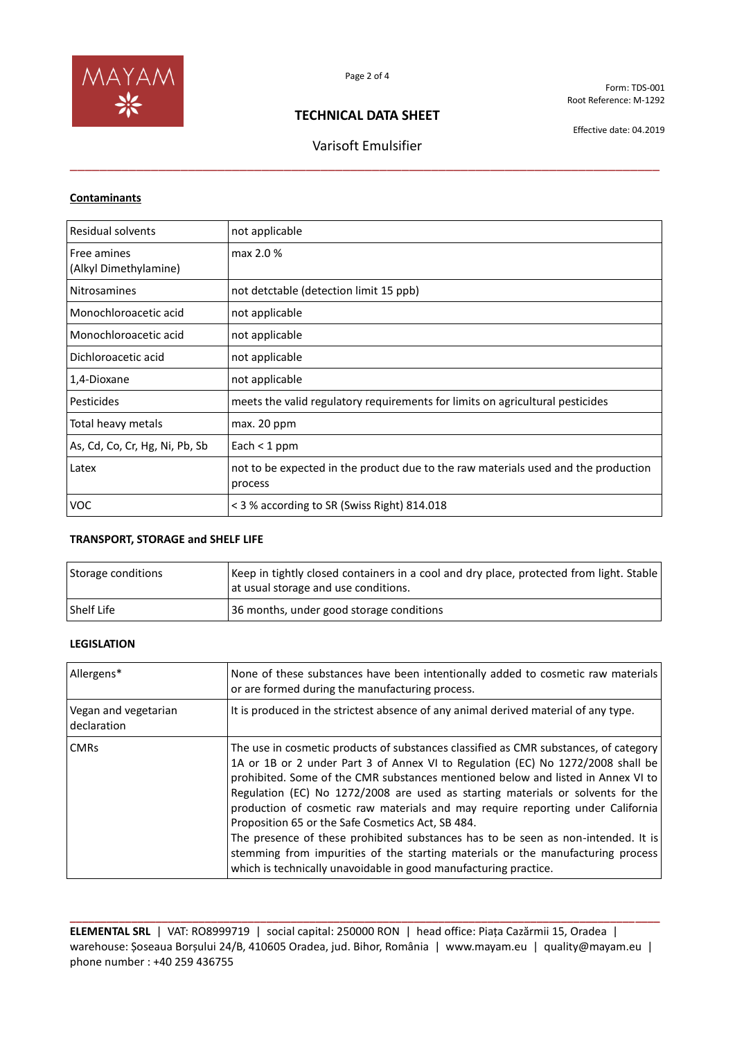

Form: TDS-001 Root Reference: M-1292

## **TECHNICAL DATA SHEET**

\_\_\_\_\_\_\_\_\_\_\_\_\_\_\_\_\_\_\_\_\_\_\_\_\_\_\_\_\_\_\_\_\_\_\_\_\_\_\_\_\_\_\_\_\_\_\_\_\_\_\_\_\_\_\_\_\_\_\_\_\_\_\_\_\_\_\_\_\_\_\_\_\_\_\_\_\_\_\_\_

Varisoft Emulsifier

Effective date: 04.2019

#### **Contaminants**

| Residual solvents                    | not applicable                                                                                |
|--------------------------------------|-----------------------------------------------------------------------------------------------|
| Free amines<br>(Alkyl Dimethylamine) | max 2.0 %                                                                                     |
| <b>Nitrosamines</b>                  | not detctable (detection limit 15 ppb)                                                        |
| Monochloroacetic acid                | not applicable                                                                                |
| Monochloroacetic acid                | not applicable                                                                                |
| Dichloroacetic acid                  | not applicable                                                                                |
| 1,4-Dioxane                          | not applicable                                                                                |
| Pesticides                           | meets the valid regulatory requirements for limits on agricultural pesticides                 |
| Total heavy metals                   | max. 20 ppm                                                                                   |
| As, Cd, Co, Cr, Hg, Ni, Pb, Sb       | Each $<$ 1 ppm                                                                                |
| Latex                                | not to be expected in the product due to the raw materials used and the production<br>process |
| <b>VOC</b>                           | < 3 % according to SR (Swiss Right) 814.018                                                   |

#### **TRANSPORT, STORAGE and SHELF LIFE**

| Storage conditions | Keep in tightly closed containers in a cool and dry place, protected from light. Stable<br>at usual storage and use conditions. |
|--------------------|---------------------------------------------------------------------------------------------------------------------------------|
| <b>Shelf Life</b>  | 36 months, under good storage conditions                                                                                        |

### **LEGISLATION**

| Allergens*                          | None of these substances have been intentionally added to cosmetic raw materials<br>or are formed during the manufacturing process.                                                                                                                                                                                                                                                                                                                                                                                                                                                                                                                                                                                                |
|-------------------------------------|------------------------------------------------------------------------------------------------------------------------------------------------------------------------------------------------------------------------------------------------------------------------------------------------------------------------------------------------------------------------------------------------------------------------------------------------------------------------------------------------------------------------------------------------------------------------------------------------------------------------------------------------------------------------------------------------------------------------------------|
| Vegan and vegetarian<br>declaration | It is produced in the strictest absence of any animal derived material of any type.                                                                                                                                                                                                                                                                                                                                                                                                                                                                                                                                                                                                                                                |
| <b>CMRs</b>                         | The use in cosmetic products of substances classified as CMR substances, of category<br>1A or 1B or 2 under Part 3 of Annex VI to Regulation (EC) No 1272/2008 shall be<br>prohibited. Some of the CMR substances mentioned below and listed in Annex VI to<br>Regulation (EC) No 1272/2008 are used as starting materials or solvents for the<br>production of cosmetic raw materials and may require reporting under California<br>Proposition 65 or the Safe Cosmetics Act, SB 484.<br>The presence of these prohibited substances has to be seen as non-intended. It is<br>stemming from impurities of the starting materials or the manufacturing process<br>which is technically unavoidable in good manufacturing practice. |

**ELEMENTAL SRL** | VAT: RO8999719 | social capital: 250000 RON | head office: Piața Cazărmii 15, Oradea | warehouse: Șoseaua Borșului 24/B, 410605 Oradea, jud. Bihor, România | www.mayam.eu | quality@mayam.eu | phone number : +40 259 436755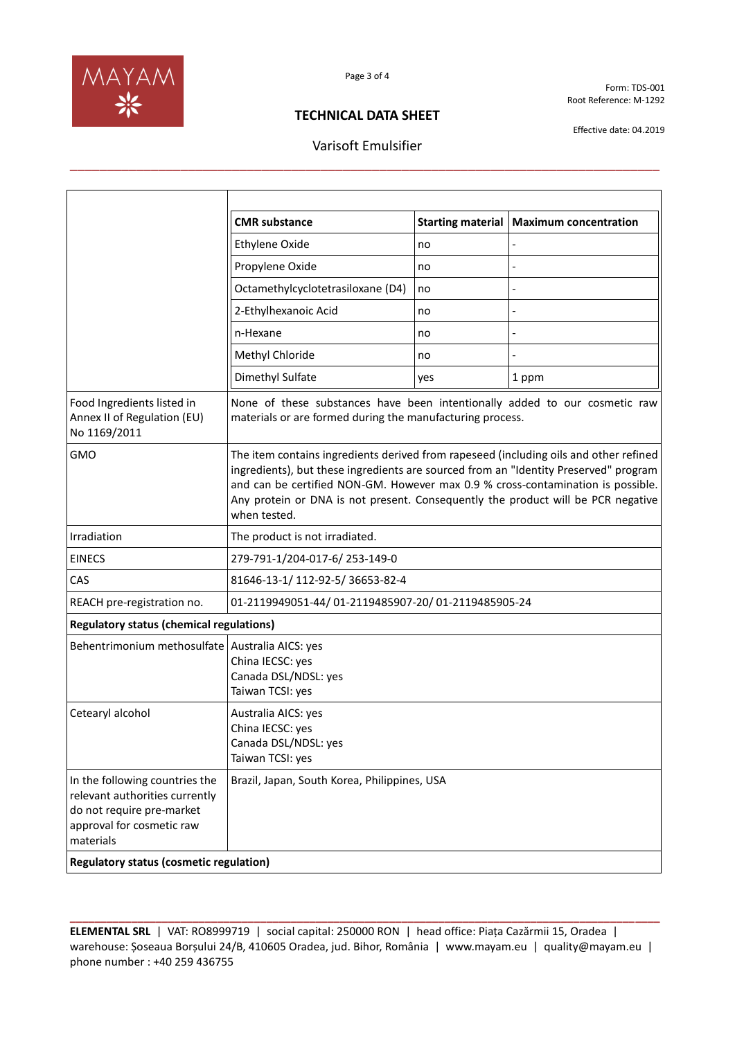

Form: TDS-001 Root Reference: M-1292

## **TECHNICAL DATA SHEET**

# Varisoft Emulsifier \_\_\_\_\_\_\_\_\_\_\_\_\_\_\_\_\_\_\_\_\_\_\_\_\_\_\_\_\_\_\_\_\_\_\_\_\_\_\_\_\_\_\_\_\_\_\_\_\_\_\_\_\_\_\_\_\_\_\_\_\_\_\_\_\_\_\_\_\_\_\_\_\_\_\_\_\_\_\_\_

Effective date: 04.2019

| <b>CMR</b> substance                                                                                                                                                                                                                                                                                                                                                 | <b>Starting material</b>                                                                                                         | <b>Maximum concentration</b>                                                                       |  |
|----------------------------------------------------------------------------------------------------------------------------------------------------------------------------------------------------------------------------------------------------------------------------------------------------------------------------------------------------------------------|----------------------------------------------------------------------------------------------------------------------------------|----------------------------------------------------------------------------------------------------|--|
| <b>Ethylene Oxide</b>                                                                                                                                                                                                                                                                                                                                                | no                                                                                                                               |                                                                                                    |  |
| Propylene Oxide                                                                                                                                                                                                                                                                                                                                                      | no                                                                                                                               |                                                                                                    |  |
| Octamethylcyclotetrasiloxane (D4)                                                                                                                                                                                                                                                                                                                                    | no                                                                                                                               |                                                                                                    |  |
| 2-Ethylhexanoic Acid                                                                                                                                                                                                                                                                                                                                                 | no                                                                                                                               |                                                                                                    |  |
| n-Hexane                                                                                                                                                                                                                                                                                                                                                             | no                                                                                                                               |                                                                                                    |  |
| Methyl Chloride                                                                                                                                                                                                                                                                                                                                                      | no                                                                                                                               |                                                                                                    |  |
| Dimethyl Sulfate                                                                                                                                                                                                                                                                                                                                                     | yes                                                                                                                              | 1 ppm                                                                                              |  |
| None of these substances have been intentionally added to our cosmetic raw<br>materials or are formed during the manufacturing process.                                                                                                                                                                                                                              |                                                                                                                                  |                                                                                                    |  |
| The item contains ingredients derived from rapeseed (including oils and other refined<br>ingredients), but these ingredients are sourced from an "Identity Preserved" program<br>and can be certified NON-GM. However max 0.9 % cross-contamination is possible.<br>Any protein or DNA is not present. Consequently the product will be PCR negative<br>when tested. |                                                                                                                                  |                                                                                                    |  |
| The product is not irradiated.                                                                                                                                                                                                                                                                                                                                       |                                                                                                                                  |                                                                                                    |  |
| 279-791-1/204-017-6/253-149-0                                                                                                                                                                                                                                                                                                                                        |                                                                                                                                  |                                                                                                    |  |
| 81646-13-1/112-92-5/36653-82-4                                                                                                                                                                                                                                                                                                                                       |                                                                                                                                  |                                                                                                    |  |
|                                                                                                                                                                                                                                                                                                                                                                      |                                                                                                                                  |                                                                                                    |  |
|                                                                                                                                                                                                                                                                                                                                                                      |                                                                                                                                  |                                                                                                    |  |
| Australia AICS: yes<br>China IECSC: yes<br>Canada DSL/NDSL: yes<br>Taiwan TCSI: yes                                                                                                                                                                                                                                                                                  |                                                                                                                                  |                                                                                                    |  |
| Australia AICS: yes<br>China IECSC: yes<br>Canada DSL/NDSL: yes<br>Taiwan TCSI: yes                                                                                                                                                                                                                                                                                  |                                                                                                                                  |                                                                                                    |  |
|                                                                                                                                                                                                                                                                                                                                                                      |                                                                                                                                  |                                                                                                    |  |
|                                                                                                                                                                                                                                                                                                                                                                      | <b>Regulatory status (chemical regulations)</b><br>Behentrimonium methosulfate<br><b>Regulatory status (cosmetic regulation)</b> | 01-2119949051-44/01-2119485907-20/01-2119485905-24<br>Brazil, Japan, South Korea, Philippines, USA |  |

**ELEMENTAL SRL** | VAT: RO8999719 | social capital: 250000 RON | head office: Piața Cazărmii 15, Oradea | warehouse: Șoseaua Borșului 24/B, 410605 Oradea, jud. Bihor, România | www.mayam.eu | quality@mayam.eu | phone number : +40 259 436755